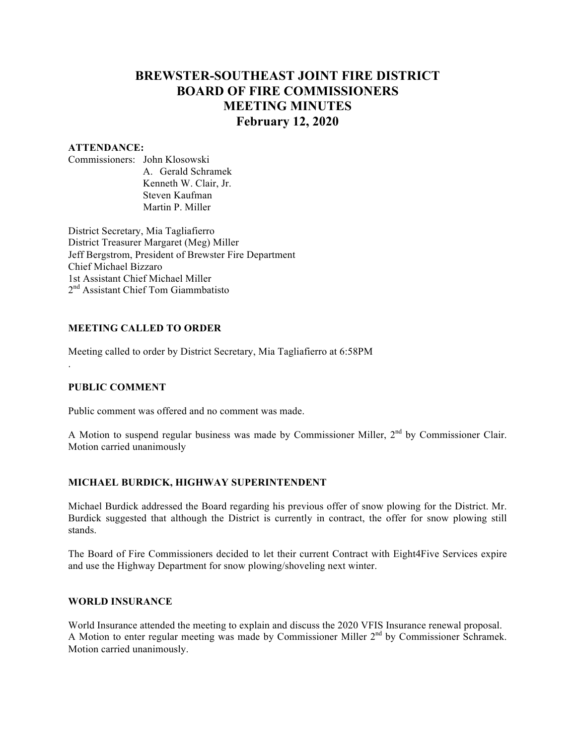# **BREWSTER-SOUTHEAST JOINT FIRE DISTRICT BOARD OF FIRE COMMISSIONERS MEETING MINUTES February 12, 2020**

#### **ATTENDANCE:**

Commissioners: John Klosowski A. Gerald Schramek Kenneth W. Clair, Jr. Steven Kaufman Martin P. Miller

District Secretary, Mia Tagliafierro District Treasurer Margaret (Meg) Miller Jeff Bergstrom, President of Brewster Fire Department Chief Michael Bizzaro 1st Assistant Chief Michael Miller 2<sup>nd</sup> Assistant Chief Tom Giammbatisto

### **MEETING CALLED TO ORDER**

Meeting called to order by District Secretary, Mia Tagliafierro at 6:58PM

### **PUBLIC COMMENT**

.

Public comment was offered and no comment was made.

A Motion to suspend regular business was made by Commissioner Miller, 2<sup>nd</sup> by Commissioner Clair. Motion carried unanimously

# **MICHAEL BURDICK, HIGHWAY SUPERINTENDENT**

Michael Burdick addressed the Board regarding his previous offer of snow plowing for the District. Mr. Burdick suggested that although the District is currently in contract, the offer for snow plowing still stands.

The Board of Fire Commissioners decided to let their current Contract with Eight4Five Services expire and use the Highway Department for snow plowing/shoveling next winter.

#### **WORLD INSURANCE**

World Insurance attended the meeting to explain and discuss the 2020 VFIS Insurance renewal proposal. A Motion to enter regular meeting was made by Commissioner Miller  $2<sup>nd</sup>$  by Commissioner Schramek. Motion carried unanimously.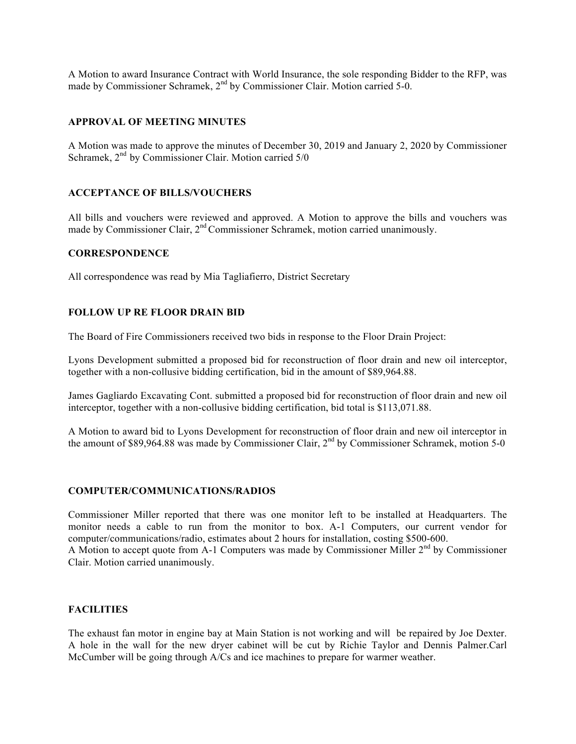A Motion to award Insurance Contract with World Insurance, the sole responding Bidder to the RFP, was made by Commissioner Schramek, 2<sup>nd</sup> by Commissioner Clair. Motion carried 5-0.

#### **APPROVAL OF MEETING MINUTES**

A Motion was made to approve the minutes of December 30, 2019 and January 2, 2020 by Commissioner Schramek,  $2<sup>nd</sup>$  by Commissioner Clair. Motion carried 5/0

#### **ACCEPTANCE OF BILLS/VOUCHERS**

All bills and vouchers were reviewed and approved. A Motion to approve the bills and vouchers was made by Commissioner Clair, 2<sup>nd</sup> Commissioner Schramek, motion carried unanimously.

#### **CORRESPONDENCE**

All correspondence was read by Mia Tagliafierro, District Secretary

### **FOLLOW UP RE FLOOR DRAIN BID**

The Board of Fire Commissioners received two bids in response to the Floor Drain Project:

Lyons Development submitted a proposed bid for reconstruction of floor drain and new oil interceptor, together with a non-collusive bidding certification, bid in the amount of \$89,964.88.

James Gagliardo Excavating Cont. submitted a proposed bid for reconstruction of floor drain and new oil interceptor, together with a non-collusive bidding certification, bid total is \$113,071.88.

A Motion to award bid to Lyons Development for reconstruction of floor drain and new oil interceptor in the amount of \$89,964.88 was made by Commissioner Clair, 2<sup>nd</sup> by Commissioner Schramek, motion 5-0

#### **COMPUTER/COMMUNICATIONS/RADIOS**

Commissioner Miller reported that there was one monitor left to be installed at Headquarters. The monitor needs a cable to run from the monitor to box. A-1 Computers, our current vendor for computer/communications/radio, estimates about 2 hours for installation, costing \$500-600. A Motion to accept quote from A-1 Computers was made by Commissioner Miller 2<sup>nd</sup> by Commissioner Clair. Motion carried unanimously.

### **FACILITIES**

The exhaust fan motor in engine bay at Main Station is not working and will be repaired by Joe Dexter. A hole in the wall for the new dryer cabinet will be cut by Richie Taylor and Dennis Palmer.Carl McCumber will be going through A/Cs and ice machines to prepare for warmer weather.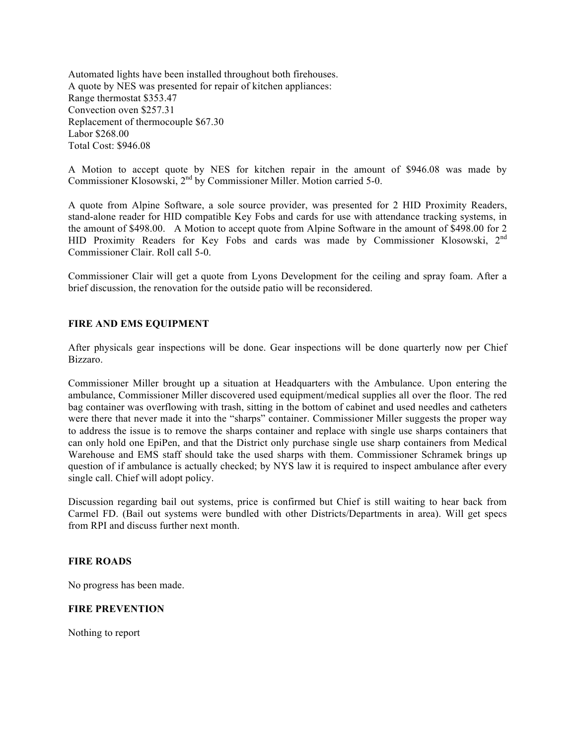Automated lights have been installed throughout both firehouses. A quote by NES was presented for repair of kitchen appliances: Range thermostat \$353.47 Convection oven \$257.31 Replacement of thermocouple \$67.30 Labor \$268.00 Total Cost: \$946.08

A Motion to accept quote by NES for kitchen repair in the amount of \$946.08 was made by Commissioner Klosowski, 2nd by Commissioner Miller. Motion carried 5-0.

A quote from Alpine Software, a sole source provider, was presented for 2 HID Proximity Readers, stand-alone reader for HID compatible Key Fobs and cards for use with attendance tracking systems, in the amount of \$498.00. A Motion to accept quote from Alpine Software in the amount of \$498.00 for 2 HID Proximity Readers for Key Fobs and cards was made by Commissioner Klosowski, 2<sup>nd</sup> Commissioner Clair. Roll call 5-0.

Commissioner Clair will get a quote from Lyons Development for the ceiling and spray foam. After a brief discussion, the renovation for the outside patio will be reconsidered.

#### **FIRE AND EMS EQUIPMENT**

After physicals gear inspections will be done. Gear inspections will be done quarterly now per Chief Bizzaro.

Commissioner Miller brought up a situation at Headquarters with the Ambulance. Upon entering the ambulance, Commissioner Miller discovered used equipment/medical supplies all over the floor. The red bag container was overflowing with trash, sitting in the bottom of cabinet and used needles and catheters were there that never made it into the "sharps" container. Commissioner Miller suggests the proper way to address the issue is to remove the sharps container and replace with single use sharps containers that can only hold one EpiPen, and that the District only purchase single use sharp containers from Medical Warehouse and EMS staff should take the used sharps with them. Commissioner Schramek brings up question of if ambulance is actually checked; by NYS law it is required to inspect ambulance after every single call. Chief will adopt policy.

Discussion regarding bail out systems, price is confirmed but Chief is still waiting to hear back from Carmel FD. (Bail out systems were bundled with other Districts/Departments in area). Will get specs from RPI and discuss further next month.

#### **FIRE ROADS**

No progress has been made.

#### **FIRE PREVENTION**

Nothing to report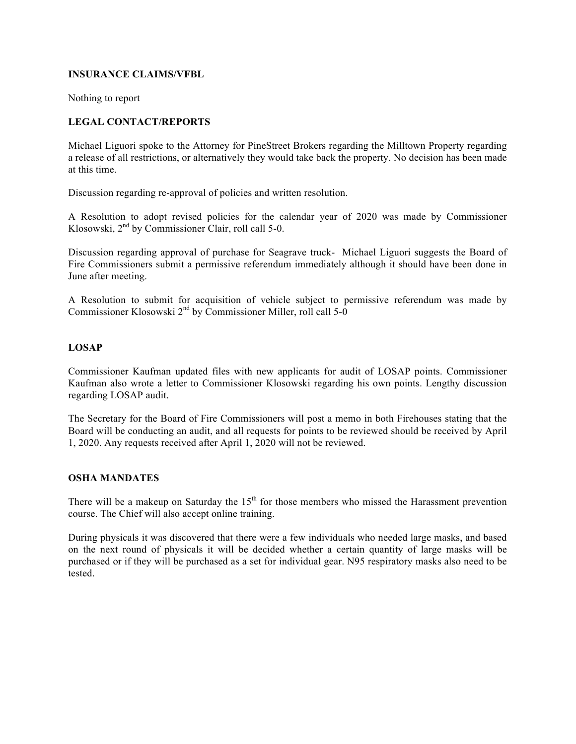### **INSURANCE CLAIMS/VFBL**

Nothing to report

### **LEGAL CONTACT/REPORTS**

Michael Liguori spoke to the Attorney for PineStreet Brokers regarding the Milltown Property regarding a release of all restrictions, or alternatively they would take back the property. No decision has been made at this time.

Discussion regarding re-approval of policies and written resolution.

A Resolution to adopt revised policies for the calendar year of 2020 was made by Commissioner Klosowski,  $2<sup>nd</sup>$  by Commissioner Clair, roll call 5-0.

Discussion regarding approval of purchase for Seagrave truck- Michael Liguori suggests the Board of Fire Commissioners submit a permissive referendum immediately although it should have been done in June after meeting.

A Resolution to submit for acquisition of vehicle subject to permissive referendum was made by Commissioner Klosowski  $2<sup>nd</sup>$  by Commissioner Miller, roll call 5-0

### **LOSAP**

Commissioner Kaufman updated files with new applicants for audit of LOSAP points. Commissioner Kaufman also wrote a letter to Commissioner Klosowski regarding his own points. Lengthy discussion regarding LOSAP audit.

The Secretary for the Board of Fire Commissioners will post a memo in both Firehouses stating that the Board will be conducting an audit, and all requests for points to be reviewed should be received by April 1, 2020. Any requests received after April 1, 2020 will not be reviewed.

### **OSHA MANDATES**

There will be a makeup on Saturday the  $15<sup>th</sup>$  for those members who missed the Harassment prevention course. The Chief will also accept online training.

During physicals it was discovered that there were a few individuals who needed large masks, and based on the next round of physicals it will be decided whether a certain quantity of large masks will be purchased or if they will be purchased as a set for individual gear. N95 respiratory masks also need to be tested.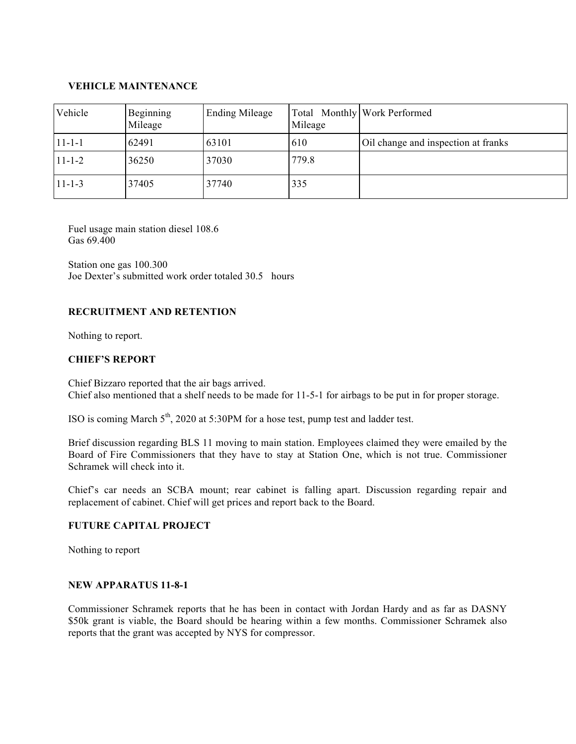### **VEHICLE MAINTENANCE**

| Vehicle      | Beginning<br>Mileage | <b>Ending Mileage</b> | Mileage | Total Monthly Work Performed        |
|--------------|----------------------|-----------------------|---------|-------------------------------------|
| $11 - 1 - 1$ | 62491                | 63101                 | 610     | Oil change and inspection at franks |
| $11 - 1 - 2$ | 36250                | 37030                 | 779.8   |                                     |
| $11 - 1 - 3$ | 37405                | 37740                 | 335     |                                     |

Fuel usage main station diesel 108.6 Gas 69.400

Station one gas 100.300 Joe Dexter's submitted work order totaled 30.5 hours

### **RECRUITMENT AND RETENTION**

Nothing to report.

### **CHIEF'S REPORT**

Chief Bizzaro reported that the air bags arrived. Chief also mentioned that a shelf needs to be made for 11-5-1 for airbags to be put in for proper storage.

ISO is coming March  $5<sup>th</sup>$ , 2020 at 5:30PM for a hose test, pump test and ladder test.

Brief discussion regarding BLS 11 moving to main station. Employees claimed they were emailed by the Board of Fire Commissioners that they have to stay at Station One, which is not true. Commissioner Schramek will check into it.

Chief's car needs an SCBA mount; rear cabinet is falling apart. Discussion regarding repair and replacement of cabinet. Chief will get prices and report back to the Board.

### **FUTURE CAPITAL PROJECT**

Nothing to report

#### **NEW APPARATUS 11-8-1**

Commissioner Schramek reports that he has been in contact with Jordan Hardy and as far as DASNY \$50k grant is viable, the Board should be hearing within a few months. Commissioner Schramek also reports that the grant was accepted by NYS for compressor.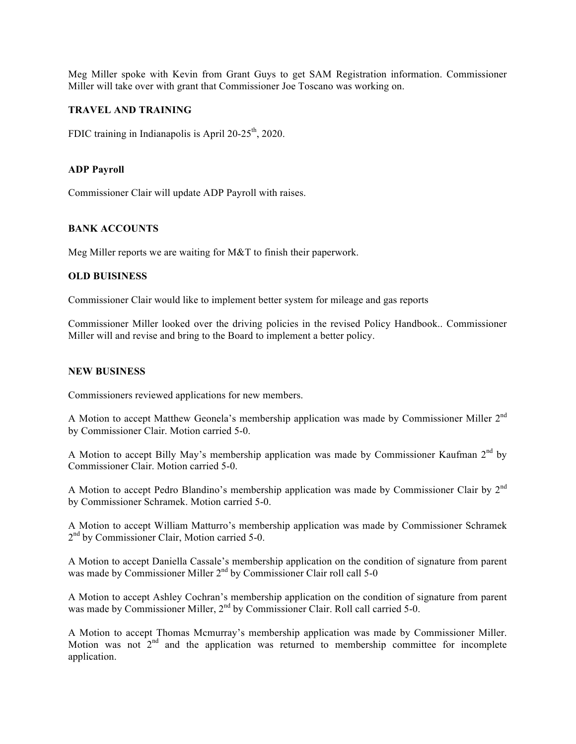Meg Miller spoke with Kevin from Grant Guys to get SAM Registration information. Commissioner Miller will take over with grant that Commissioner Joe Toscano was working on.

#### **TRAVEL AND TRAINING**

FDIC training in Indianapolis is April  $20-25<sup>th</sup>$ , 2020.

#### **ADP Payroll**

Commissioner Clair will update ADP Payroll with raises.

### **BANK ACCOUNTS**

Meg Miller reports we are waiting for M&T to finish their paperwork.

#### **OLD BUISINESS**

Commissioner Clair would like to implement better system for mileage and gas reports

Commissioner Miller looked over the driving policies in the revised Policy Handbook.. Commissioner Miller will and revise and bring to the Board to implement a better policy.

#### **NEW BUSINESS**

Commissioners reviewed applications for new members.

A Motion to accept Matthew Geonela's membership application was made by Commissioner Miller 2nd by Commissioner Clair. Motion carried 5-0.

A Motion to accept Billy May's membership application was made by Commissioner Kaufman 2<sup>nd</sup> by Commissioner Clair. Motion carried 5-0.

A Motion to accept Pedro Blandino's membership application was made by Commissioner Clair by 2nd by Commissioner Schramek. Motion carried 5-0.

A Motion to accept William Matturro's membership application was made by Commissioner Schramek 2<sup>nd</sup> by Commissioner Clair, Motion carried 5-0.

A Motion to accept Daniella Cassale's membership application on the condition of signature from parent was made by Commissioner Miller  $2<sup>nd</sup>$  by Commissioner Clair roll call 5-0

A Motion to accept Ashley Cochran's membership application on the condition of signature from parent was made by Commissioner Miller, 2<sup>nd</sup> by Commissioner Clair. Roll call carried 5-0.

A Motion to accept Thomas Mcmurray's membership application was made by Commissioner Miller. Motion was not  $2<sup>nd</sup>$  and the application was returned to membership committee for incomplete application.